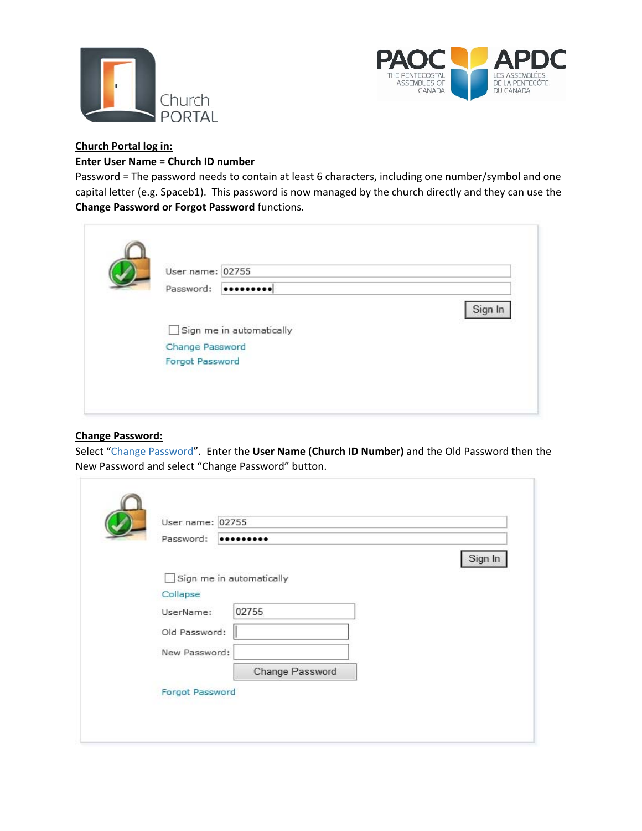



# **Church Portal log in:**

## **Enter User Name = Church ID number**

Password = The password needs to contain at least 6 characters, including one number/symbol and one capital letter (e.g. Spaceb1). This password is now managed by the church directly and they can use the **Change Password or Forgot Password** functions.

| User name: 02755         |         |
|--------------------------|---------|
| Password:                |         |
|                          | Sign In |
| Sign me in automatically |         |
| Change Password          |         |
| Forgot Password          |         |

## **Change Password:**

 $\leftarrow$ 

Select "Change Password". Enter the **User Name (Church ID Number)** and the Old Password then the New Password and select "Change Password" button.

| User name: 02755 |                          |         |
|------------------|--------------------------|---------|
| Password:        |                          |         |
|                  |                          | Sign In |
| - 1              | Sign me in automatically |         |
| Collapse         |                          |         |
| UserName:        | 02755                    |         |
| Old Password:    |                          |         |
| New Password:    |                          |         |
|                  | Change Password          |         |
| Forgot Password  |                          |         |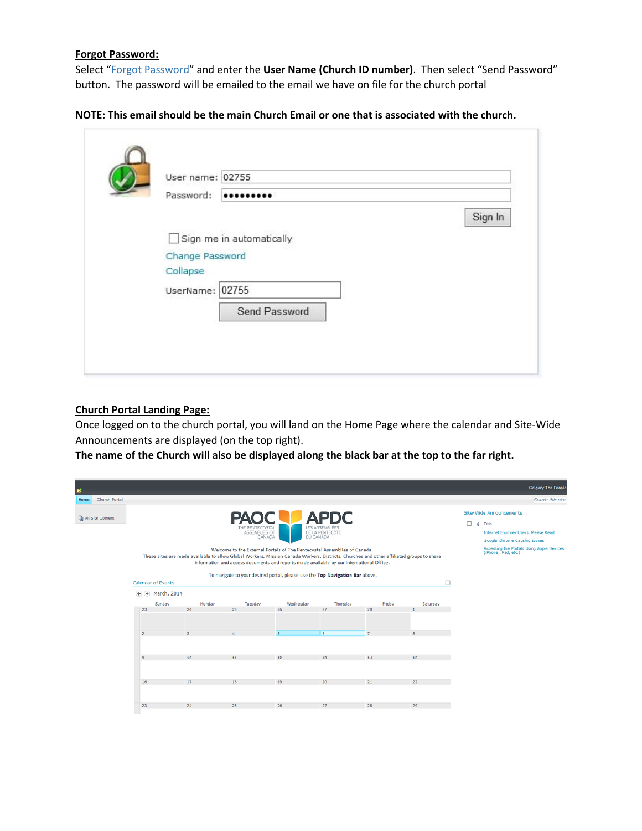## **Forgot Password:**

Select "Forgot Password" and enter the **User Name (Church ID number)**. Then select "Send Password" button. The password will be emailed to the email we have on file for the church portal

| User name: 02755 |                          |         |
|------------------|--------------------------|---------|
| Password:        |                          |         |
|                  |                          | Sign In |
|                  | Sign me in automatically |         |
| Change Password  |                          |         |
| Collapse         |                          |         |
| UserName: 02755  |                          |         |
|                  | Send Password            |         |
|                  |                          |         |

## **Church Portal Landing Page:**

Once logged on to the church portal, you will land on the Home Page where the calendar and Site‐Wide Announcements are displayed (on the top right).

The name of the Church will also be displayed along the black bar at the top to the far right.

| 魦                     |                                                                |                                                                                                                                          |                                                           |                                                                                                                                                                                                                                                                   |                                                  |                |          |   | Calgary The People                                                                                                                                                                |
|-----------------------|----------------------------------------------------------------|------------------------------------------------------------------------------------------------------------------------------------------|-----------------------------------------------------------|-------------------------------------------------------------------------------------------------------------------------------------------------------------------------------------------------------------------------------------------------------------------|--------------------------------------------------|----------------|----------|---|-----------------------------------------------------------------------------------------------------------------------------------------------------------------------------------|
| Church Portal<br>Home |                                                                |                                                                                                                                          |                                                           |                                                                                                                                                                                                                                                                   |                                                  |                |          |   | Search this site.                                                                                                                                                                 |
| All Site Content      |                                                                | These sites are made available to allow Global Workers, Mission Canada Workers, Districts, Churches and other affiliated groups to share | <b>PAOC</b><br>THE PENTECOSTAL<br>ASSEMBLIES OF<br>CANADA | DU CANADA<br>Welcome to the External Portals of The Pentecostal Assemblies of Canada.<br>information and access documents and reports made available by our International Office.<br>To navigate to your desired portal, please use the Top Navigation Bar above. | <b>APDC</b><br>LES ASSEMBLÉES<br>DE LA PENTECÔTE |                |          | □ | Site-Wide Announcements<br>$0$ Title<br>Internet Explorer Users, Please Read<br>Google Chrome Causing Issues<br>Accessing the Portals Using Apple Devices<br>(iPhone, iPad, etc.) |
|                       | Calendar of Events<br>$\left( \frac{1}{2} \right)$ March, 2014 |                                                                                                                                          |                                                           |                                                                                                                                                                                                                                                                   |                                                  |                | $\Box$   |   |                                                                                                                                                                                   |
|                       | Sunday                                                         | Monday                                                                                                                                   | Tuesday                                                   | Wednesday                                                                                                                                                                                                                                                         | Thursday                                         | Friday         | Saturday |   |                                                                                                                                                                                   |
|                       | 23                                                             | 24                                                                                                                                       | 25                                                        | 26                                                                                                                                                                                                                                                                | 27                                               | 28             |          |   |                                                                                                                                                                                   |
|                       |                                                                |                                                                                                                                          |                                                           |                                                                                                                                                                                                                                                                   |                                                  |                |          |   |                                                                                                                                                                                   |
|                       | $\overline{2}$                                                 |                                                                                                                                          |                                                           | $5^{\circ}$                                                                                                                                                                                                                                                       | 6                                                | $\overline{z}$ | 良        |   |                                                                                                                                                                                   |
|                       |                                                                |                                                                                                                                          |                                                           |                                                                                                                                                                                                                                                                   |                                                  |                |          |   |                                                                                                                                                                                   |
|                       | $\circ$                                                        | 10                                                                                                                                       | 11                                                        | 12                                                                                                                                                                                                                                                                | 13                                               | 14             | 15       |   |                                                                                                                                                                                   |
|                       |                                                                |                                                                                                                                          |                                                           |                                                                                                                                                                                                                                                                   |                                                  |                |          |   |                                                                                                                                                                                   |
|                       | 16                                                             | 17                                                                                                                                       | 18                                                        | 19                                                                                                                                                                                                                                                                | 20                                               | 21             | 22       |   |                                                                                                                                                                                   |
|                       |                                                                |                                                                                                                                          |                                                           |                                                                                                                                                                                                                                                                   |                                                  |                |          |   |                                                                                                                                                                                   |
|                       | 23                                                             | 24                                                                                                                                       | 25                                                        | 26                                                                                                                                                                                                                                                                | 27                                               | 28             | 29       |   |                                                                                                                                                                                   |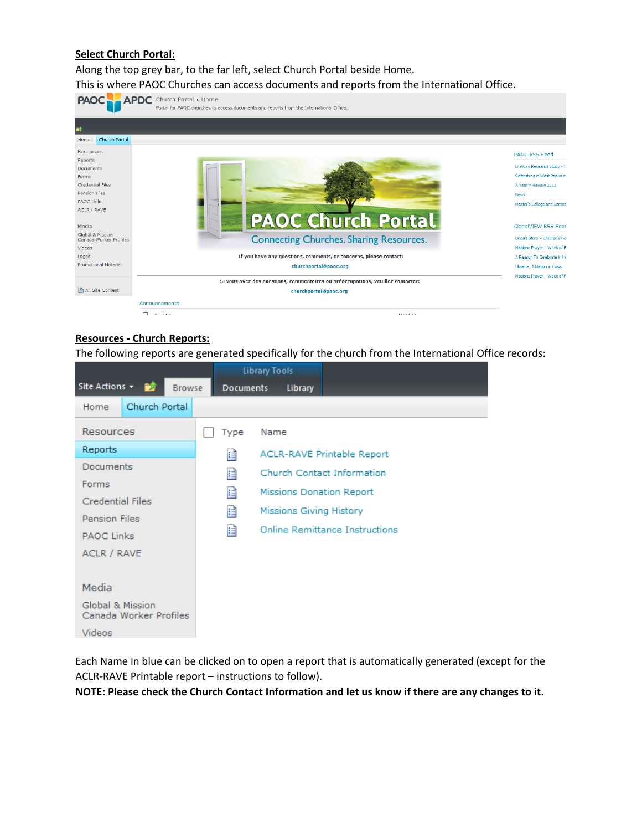# **Select Church Portal:**

Along the top grey bar, to the far left, select Church Portal beside Home.



#### **Resources ‐ Church Reports:**

The following reports are generated specifically for the church from the International Office records:

|                                            |                  | <b>Library Tools</b> |                                |                                   |
|--------------------------------------------|------------------|----------------------|--------------------------------|-----------------------------------|
| Site Actions +<br><b>Browse</b>            | <b>Documents</b> |                      | Library                        |                                   |
| Church Portal<br>Home                      |                  |                      |                                |                                   |
| <b>Resources</b>                           | Type             | Name                 |                                |                                   |
| Reports                                    | 自                |                      |                                | <b>ACLR-RAVE Printable Report</b> |
| Documents                                  | 目                |                      |                                | Church Contact Information        |
| Forms                                      | 目                |                      |                                | Missions Donation Report          |
| <b>Credential Files</b>                    |                  |                      | <b>Missions Giving History</b> |                                   |
| <b>Pension Files</b>                       | 目                |                      |                                |                                   |
| <b>PAOC Links</b>                          | 自                |                      |                                | Online Remittance Instructions    |
| ACLR / RAVE                                |                  |                      |                                |                                   |
|                                            |                  |                      |                                |                                   |
| Media                                      |                  |                      |                                |                                   |
| Global & Mission<br>Canada Worker Profiles |                  |                      |                                |                                   |
| <b>Videos</b>                              |                  |                      |                                |                                   |

Each Name in blue can be clicked on to open a report that is automatically generated (except for the ACLR‐RAVE Printable report – instructions to follow).

**NOTE: Please check the Church Contact Information and let us know if there are any changes to it.**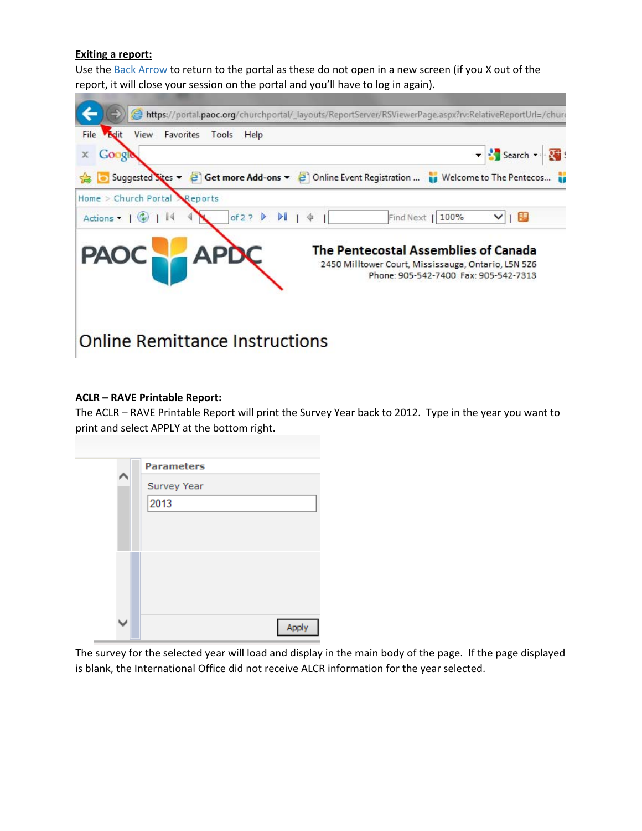## **Exiting a report:**

Use the Back Arrow to return to the portal as these do not open in a new screen (if you X out of the report, it will close your session on the portal and you'll have to log in again).



## **ACLR – RAVE Printable Report:**

The ACLR – RAVE Printable Report will print the Survey Year back to 2012. Type in the year you want to print and select APPLY at the bottom right.

| <b>Parameters</b><br>Survey Year<br>2013 |
|------------------------------------------|
| Apply                                    |

The survey for the selected year will load and display in the main body of the page. If the page displayed is blank, the International Office did not receive ALCR information for the year selected.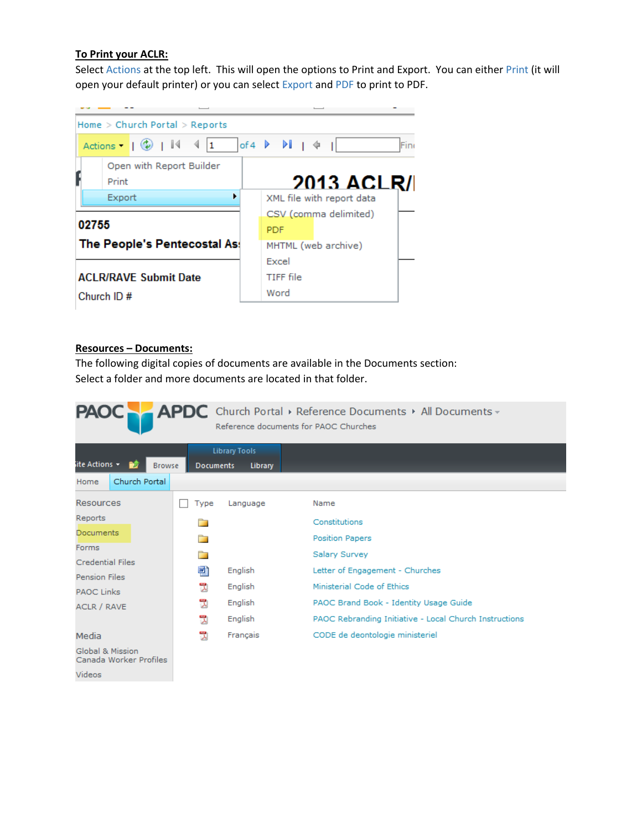## **To Print your ACLR:**

Select Actions at the top left. This will open the options to Print and Export. You can either Print (it will open your default printer) or you can select Export and PDF to print to PDF.



## **Resources – Documents:**

The following digital copies of documents are available in the Documents section: Select a folder and more documents are located in that folder.

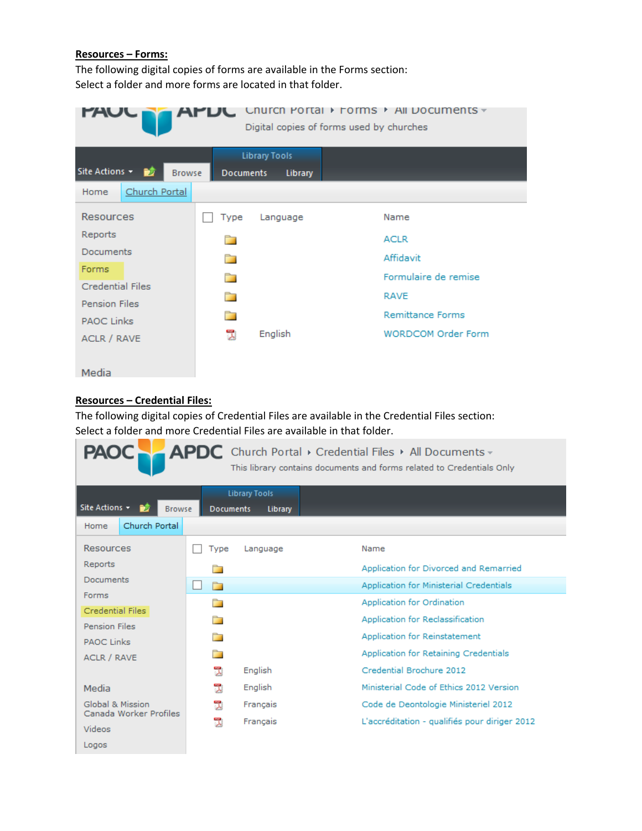## **Resources – Forms:**

The following digital copies of forms are available in the Forms section: Select a folder and more forms are located in that folder.

|                                 | Church Portal                                       | ▶ Forms ▶ All Documents <del>-</del><br>Digital copies of forms used by churches |
|---------------------------------|-----------------------------------------------------|----------------------------------------------------------------------------------|
| Site Actions +<br><b>Browse</b> | <b>Library Tools</b><br><b>Documents</b><br>Library |                                                                                  |
| Church Portal<br>Home           |                                                     |                                                                                  |
| <b>Resources</b>                | Type<br>Language                                    | Name                                                                             |
| Reports                         | n                                                   | <b>ACLR</b>                                                                      |
| Documents                       | n                                                   | Affidavit                                                                        |
| Forms                           |                                                     | Formulaire de remise                                                             |
| <b>Credential Files</b>         |                                                     |                                                                                  |
| <b>Pension Files</b>            | ▅                                                   | <b>RAVE</b>                                                                      |
| <b>PAOC Links</b>               |                                                     | <b>Remittance Forms</b>                                                          |
| <b>ACLR / RAVE</b>              | English<br>员                                        | <b>WORDCOM Order Form</b>                                                        |
|                                 |                                                     |                                                                                  |
| Media                           |                                                     |                                                                                  |

# **Resources – Credential Files:**

The following digital copies of Credential Files are available in the Credential Files section: Select a folder and more Credential Files are available in that folder.

| <b>PAOC</b>                                |                  |                                        | APDC Church Portal > Credential Files > All Documents -<br>This library contains documents and forms related to Credentials Only |
|--------------------------------------------|------------------|----------------------------------------|----------------------------------------------------------------------------------------------------------------------------------|
| Site Actions +<br>Đô<br><b>Browse</b>      | <b>Documents</b> | <b>Library Tools</b><br><b>Library</b> |                                                                                                                                  |
| Church Portal<br>Home                      |                  |                                        |                                                                                                                                  |
| Resources                                  | Type             | Language                               | Name                                                                                                                             |
| Reports                                    | n.               |                                        | Application for Divorced and Remarried                                                                                           |
| Documents                                  | n an             |                                        | Application for Ministerial Credentials                                                                                          |
| Forms                                      | n.               |                                        | <b>Application for Ordination</b>                                                                                                |
| Credential Files<br><b>Pension Files</b>   | n an             |                                        | Application for Reclassification                                                                                                 |
| <b>PAOC Links</b>                          |                  |                                        | Application for Reinstatement                                                                                                    |
| <b>ACLR / RAVE</b>                         |                  |                                        | Application for Retaining Credentials                                                                                            |
|                                            | 뻿                | English                                | Credential Brochure 2012                                                                                                         |
| Media                                      | 쩭                | English                                | Ministerial Code of Ethics 2012 Version                                                                                          |
| Global & Mission<br>Canada Worker Profiles | 뿻                | Français                               | Code de Deontologie Ministeriel 2012                                                                                             |
| Videos                                     | 뭿                | Français                               | L'accréditation - qualifiés pour diriger 2012                                                                                    |
| Logos                                      |                  |                                        |                                                                                                                                  |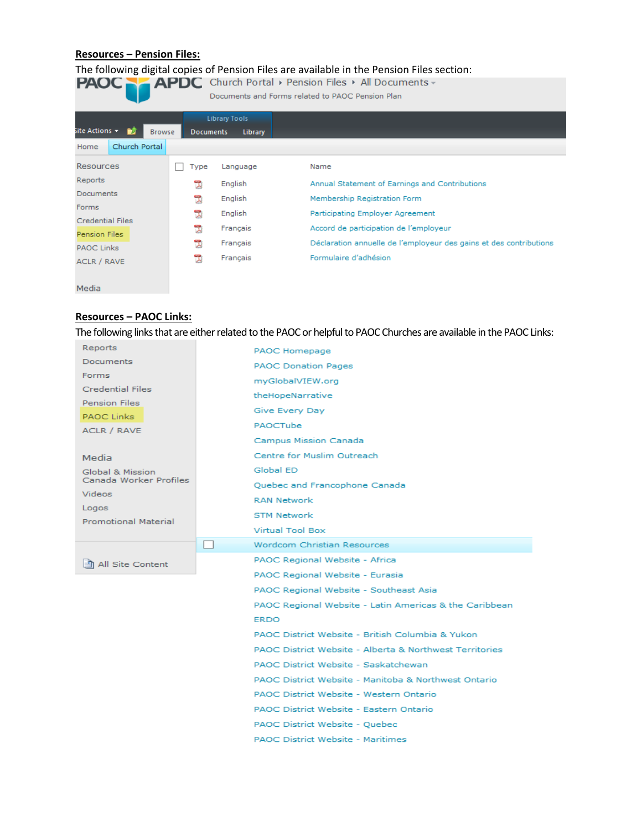# **Resources – Pension Files:**

# The following digital copies of Pension Files are available in the Pension Files section:<br> **PAOC** APDC Church Portal  $\rightarrow$  Pension Files  $\rightarrow$  All Documents  $\rightarrow$

Documents and Forms related to PAOC Pension Plan

|                                                               |               |                  | <b>Library Tools</b> |                                                                    |
|---------------------------------------------------------------|---------------|------------------|----------------------|--------------------------------------------------------------------|
| $\overline{\phantom{a}}$ ite Actions $\overline{\phantom{a}}$ | <b>Browse</b> | <b>Documents</b> | Library              |                                                                    |
| Church Portal<br>Home                                         |               |                  |                      |                                                                    |
| Resources                                                     |               | Type             | Language             | Name                                                               |
| Reports                                                       |               | 0                | English              | Annual Statement of Earnings and Contributions                     |
| <b>Documents</b>                                              |               | 쀉                | English              | Membership Registration Form                                       |
| <b>Forms</b>                                                  |               | 뭿                | English              | Participating Employer Agreement                                   |
| <b>Credential Files</b>                                       |               |                  |                      |                                                                    |
| <b>Pension Files</b>                                          |               | ٦                | Français             | Accord de participation de l'employeur                             |
| <b>PAOC Links</b>                                             |               | 뿻                | Français             | Déclaration annuelle de l'employeur des gains et des contributions |
| <b>ACLR / RAVE</b>                                            |               | ٦                | Français             | Formulaire d'adhésion                                              |

Media

## **Resources – PAOC Links:**

The following links that are either related to the PAOC or helpful to PAOC Churches are available in the PAOC Links:

| Reports                                    | PAOC Homepage                                                              |
|--------------------------------------------|----------------------------------------------------------------------------|
| <b>Documents</b>                           | <b>PAOC Donation Pages</b>                                                 |
| Forms                                      | myGlobalVIEW.org                                                           |
| Credential Files                           | theHopeNarrative                                                           |
| <b>Pension Files</b>                       | Give Every Day                                                             |
| <b>PAOC Links</b>                          | PAOCTube                                                                   |
| ACLR / RAVE                                | Campus Mission Canada                                                      |
|                                            | Centre for Muslim Outreach                                                 |
| Media                                      | Global ED                                                                  |
| Global & Mission<br>Canada Worker Profiles |                                                                            |
| <b>Videos</b>                              | Quebec and Francophone Canada                                              |
| Logos<br><b>Promotional Material</b>       | <b>RAN Network</b>                                                         |
|                                            | <b>STM Network</b>                                                         |
|                                            | Virtual Tool Box                                                           |
|                                            | Wordcom Christian Resources                                                |
| h All Site Content                         | PAOC Regional Website - Africa                                             |
|                                            | PAOC Regional Website - Eurasia                                            |
|                                            | PAOC Regional Website - Southeast Asia                                     |
|                                            | PAOC Regional Website - Latin Americas & the Caribbean                     |
|                                            | ERDO                                                                       |
|                                            |                                                                            |
|                                            | PAOC District Website - British Columbia & Yukon                           |
|                                            | PAOC District Website - Alberta & Northwest Territories                    |
|                                            | PAOC District Website - Saskatchewan                                       |
|                                            | PAOC District Website - Manitoba & Northwest Ontario                       |
|                                            |                                                                            |
|                                            | PAOC District Website - Western Ontario                                    |
|                                            | PAOC District Website - Eastern Ontario                                    |
|                                            | PAOC District Website - Quebec<br><b>PAOC District Website - Maritimes</b> |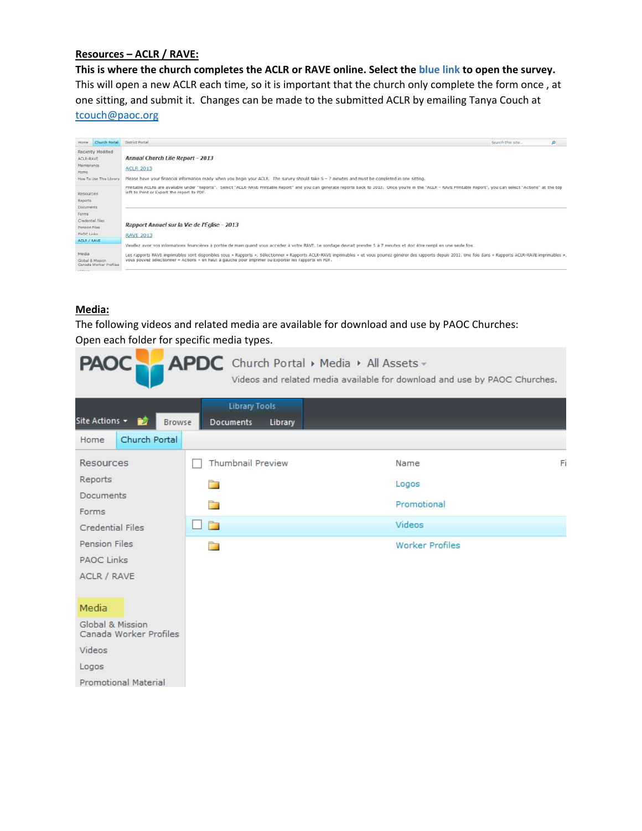## **Resources – ACLR / RAVE:**

This is where the church completes the ACLR or RAVE online. Select the blue link to open the survey. This will open a new ACLR each time, so it is important that the church only complete the form once , at one sitting, and submit it. Changes can be made to the submitted ACLR by emailing Tanya Couch at tcouch@paoc.org



## **Media:**

The following videos and related media are available for download and use by PAOC Churches: Open each folder for specific media types.

| <b>PAOC</b>                                | APDC Church Portal > Media > All Assets -                  | Videos and related media available for download and use by PAOC Churches. |    |
|--------------------------------------------|------------------------------------------------------------|---------------------------------------------------------------------------|----|
| Site Actions +<br>ĐÔ<br><b>Browse</b>      | <b>Library Tools</b><br><b>Documents</b><br><b>Library</b> |                                                                           |    |
| Church Portal<br>Home                      |                                                            |                                                                           |    |
| <b>Resources</b>                           | <b>Thumbnail Preview</b>                                   | Name                                                                      | Fi |
| Reports                                    |                                                            | Logos                                                                     |    |
| <b>Documents</b><br>Forms                  |                                                            | Promotional                                                               |    |
| <b>Credential Files</b>                    | n a                                                        | Videos                                                                    |    |
| <b>Pension Files</b>                       | n an                                                       | <b>Worker Profiles</b>                                                    |    |
| <b>PAOC Links</b>                          |                                                            |                                                                           |    |
| <b>ACLR / RAVE</b>                         |                                                            |                                                                           |    |
| Media                                      |                                                            |                                                                           |    |
| Global & Mission<br>Canada Worker Profiles |                                                            |                                                                           |    |
| Videos                                     |                                                            |                                                                           |    |
| Logos                                      |                                                            |                                                                           |    |
| <b>Promotional Material</b>                |                                                            |                                                                           |    |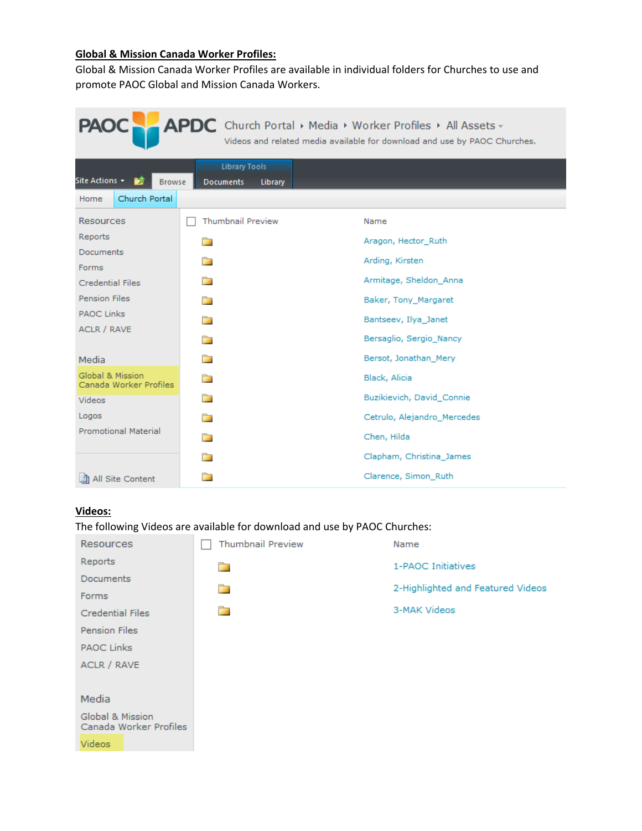# **Global & Mission Canada Worker Profiles:**

Global & Mission Canada Worker Profiles are available in individual folders for Churches to use and promote PAOC Global and Mission Canada Workers.

| APDC Church Portal > Media > Worker Profiles > All Assets -<br><b>PAOC</b><br>Videos and related media available for download and use by PAOC Churches. |                                                     |                             |  |  |  |  |  |  |  |  |
|---------------------------------------------------------------------------------------------------------------------------------------------------------|-----------------------------------------------------|-----------------------------|--|--|--|--|--|--|--|--|
| Site Actions –<br>ĐJ<br><b>Browse</b>                                                                                                                   | <b>Library Tools</b><br><b>Documents</b><br>Library |                             |  |  |  |  |  |  |  |  |
| Church Portal<br>Home                                                                                                                                   |                                                     |                             |  |  |  |  |  |  |  |  |
| <b>Resources</b>                                                                                                                                        | <b>Thumbnail Preview</b>                            | Name                        |  |  |  |  |  |  |  |  |
| Reports                                                                                                                                                 |                                                     | Aragon, Hector_Ruth         |  |  |  |  |  |  |  |  |
| Documents<br>Forms                                                                                                                                      |                                                     | Arding, Kirsten             |  |  |  |  |  |  |  |  |
| <b>Credential Files</b>                                                                                                                                 |                                                     | Armitage, Sheldon Anna      |  |  |  |  |  |  |  |  |
| <b>Pension Files</b>                                                                                                                                    |                                                     | Baker, Tony Margaret        |  |  |  |  |  |  |  |  |
| <b>PAOC Links</b>                                                                                                                                       |                                                     | Bantseev, Ilya Janet        |  |  |  |  |  |  |  |  |
| <b>ACLR / RAVE</b>                                                                                                                                      | n 11                                                | Bersaglio, Sergio Nancy     |  |  |  |  |  |  |  |  |
| Media                                                                                                                                                   | ▅                                                   | Bersot, Jonathan Mery       |  |  |  |  |  |  |  |  |
| Global & Mission<br>Canada Worker Profiles                                                                                                              | ▔                                                   | Black, Alicia               |  |  |  |  |  |  |  |  |
| Videos                                                                                                                                                  |                                                     | Buzikievich, David Connie   |  |  |  |  |  |  |  |  |
| Logos                                                                                                                                                   |                                                     | Cetrulo, Alejandro Mercedes |  |  |  |  |  |  |  |  |
| <b>Promotional Material</b>                                                                                                                             |                                                     | Chen, Hilda                 |  |  |  |  |  |  |  |  |
|                                                                                                                                                         |                                                     | Clapham, Christina_James    |  |  |  |  |  |  |  |  |
| 動 All Site Content                                                                                                                                      |                                                     | Clarence, Simon_Ruth        |  |  |  |  |  |  |  |  |

## **Videos:**

The following Videos are available for download and use by PAOC Churches:

| <b>Resources</b>                           | <b>Thumbnail Preview</b> | Name                              |
|--------------------------------------------|--------------------------|-----------------------------------|
| Reports                                    | n                        | 1-PAOC Initiatives                |
| <b>Documents</b>                           |                          | 2-Highlighted and Featured Videos |
| <b>Forms</b>                               | n.                       |                                   |
| <b>Credential Files</b>                    | n                        | 3-MAK Videos                      |
| Pension Files                              |                          |                                   |
| <b>PAOC Links</b>                          |                          |                                   |
| ACLR / RAVE                                |                          |                                   |
|                                            |                          |                                   |
| Media                                      |                          |                                   |
| Global & Mission<br>Canada Worker Profiles |                          |                                   |
| <b>Videos</b>                              |                          |                                   |